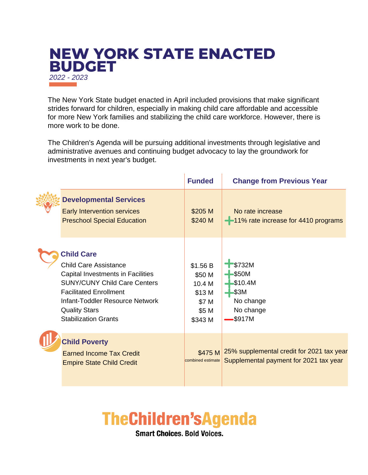## **NEW YORK STATE ENACTED BUDGET** *2022 - 2023*

The New York State budget enacted in April included provisions that make significant strides forward for children, especially in making child care affordable and accessible for more New York families and stabilizing the child care workforce. However, there is more work to be done.

The Children's Agenda will be pursuing additional investments through legislative and administrative avenues and continuing budget advocacy to lay the groundwork for investments in next year's budget.

The Common Park

|                                                                                                                                                                                                                                                          | <b>Funded</b>                                                       | <b>Change from Previous Year</b>                                                    |
|----------------------------------------------------------------------------------------------------------------------------------------------------------------------------------------------------------------------------------------------------------|---------------------------------------------------------------------|-------------------------------------------------------------------------------------|
| <b>Developmental Services</b><br>Early Intervention services<br><b>Preschool Special Education</b>                                                                                                                                                       | \$205 M<br>\$240 M                                                  | No rate increase<br>-11% rate increase for 4410 programs                            |
| <b>Child Care</b><br><b>Child Care Assistance</b><br>Capital Investments in Facilities<br><b>SUNY/CUNY Child Care Centers</b><br><b>Facilitated Enrollment</b><br>Infant-Toddler Resource Network<br><b>Quality Stars</b><br><b>Stabilization Grants</b> | \$1.56 B<br>\$50 M<br>10.4 M<br>\$13 M<br>\$7 M<br>\$5 M<br>\$343 M | \$732M<br>\$50M<br>\$10.4M<br>\$3M<br>No change<br>No change<br>\$917M              |
| <b>Child Poverty</b><br><b>Earned Income Tax Credit</b><br><b>Empire State Child Credit</b>                                                                                                                                                              | \$475 M<br>combined estimate                                        | 25% supplemental credit for 2021 tax year<br>Supplemental payment for 2021 tax year |

## **TheChildren'sAgenda**

**Smart Choices, Bold Voices.**